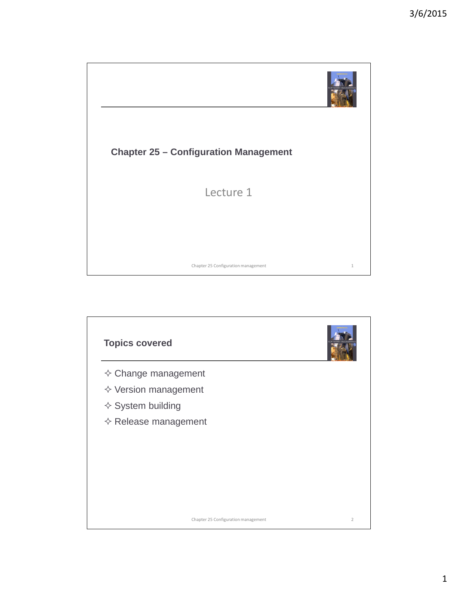

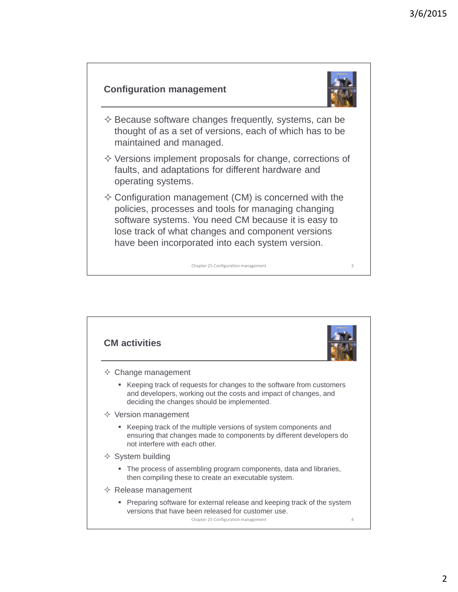#### **Configuration management**



- $\diamond$  Because software changes frequently, systems, can be thought of as a set of versions, each of which has to be maintained and managed.
- $\diamond$  Versions implement proposals for change, corrections of faults, and adaptations for different hardware and operating systems.
- $\Diamond$  Configuration management (CM) is concerned with the policies, processes and tools for managing changing software systems. You need CM because it is easy to lose track of what changes and component versions have been incorporated into each system version.

3Chapter 25 Configuration management

**CM activities**  $\Diamond$  Change management Keeping track of requests for changes to the software from customers and developers, working out the costs and impact of changes, and deciding the changes should be implemented.  $\diamond$  Version management Keeping track of the multiple versions of system components and ensuring that changes made to components by different developers do not interfere with each other.  $\Diamond$  System building The process of assembling program components, data and libraries, then compiling these to create an executable system.  $\Leftrightarrow$  Release management **Preparing software for external release and keeping track of the system** versions that have been released for customer use. 4Chapter 25 Configuration management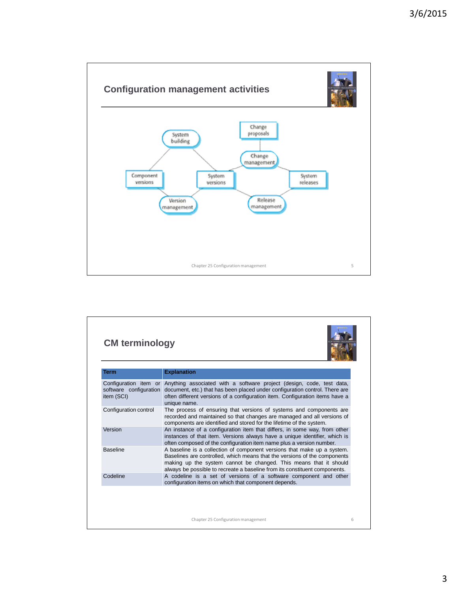

| <b>Term</b>           | <b>Explanation</b>                                                                                                                                                                                                                                                                                      |  |
|-----------------------|---------------------------------------------------------------------------------------------------------------------------------------------------------------------------------------------------------------------------------------------------------------------------------------------------------|--|
| item (SCI)            | Configuration item or Anything associated with a software project (design, code, test data,<br>software configuration document, etc.) that has been placed under configuration control. There are<br>often different versions of a configuration item. Configuration items have a<br>unique name.       |  |
| Configuration control | The process of ensuring that versions of systems and components are<br>recorded and maintained so that changes are managed and all versions of<br>components are identified and stored for the lifetime of the system.                                                                                  |  |
| Version               | An instance of a configuration item that differs, in some way, from other<br>instances of that item. Versions always have a unique identifier, which is<br>often composed of the configuration item name plus a version number.                                                                         |  |
| <b>Baseline</b>       | A baseline is a collection of component versions that make up a system.<br>Baselines are controlled, which means that the versions of the components<br>making up the system cannot be changed. This means that it should<br>always be possible to recreate a baseline from its constituent components. |  |
| Codeline              | A codeline is a set of versions of a software component and other<br>configuration items on which that component depends.                                                                                                                                                                               |  |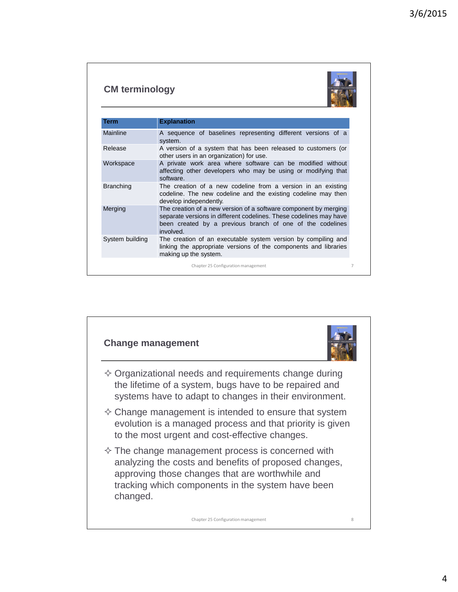### **CM terminology**



| Term             | <b>Explanation</b>                                                                                                                                                                                               |
|------------------|------------------------------------------------------------------------------------------------------------------------------------------------------------------------------------------------------------------|
| Mainline         | A sequence of baselines representing different versions of a<br>system.                                                                                                                                          |
| Release          | A version of a system that has been released to customers (or<br>other users in an organization) for use.                                                                                                        |
| Workspace        | A private work area where software can be modified without<br>affecting other developers who may be using or modifying that<br>software.                                                                         |
| <b>Branching</b> | The creation of a new codeline from a version in an existing<br>codeline. The new codeline and the existing codeline may then<br>develop independently.                                                          |
| Merging          | The creation of a new version of a software component by merging<br>separate versions in different codelines. These codelines may have<br>been created by a previous branch of one of the codelines<br>involved. |
| System building  | The creation of an executable system version by compiling and<br>linking the appropriate versions of the components and libraries<br>making up the system.                                                       |
|                  | Chapter 25 Configuration management                                                                                                                                                                              |

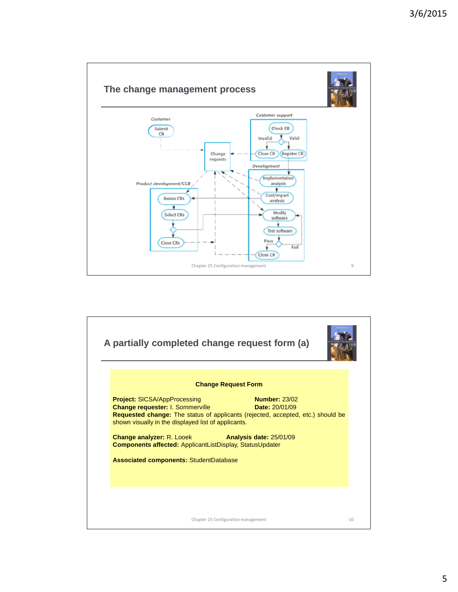

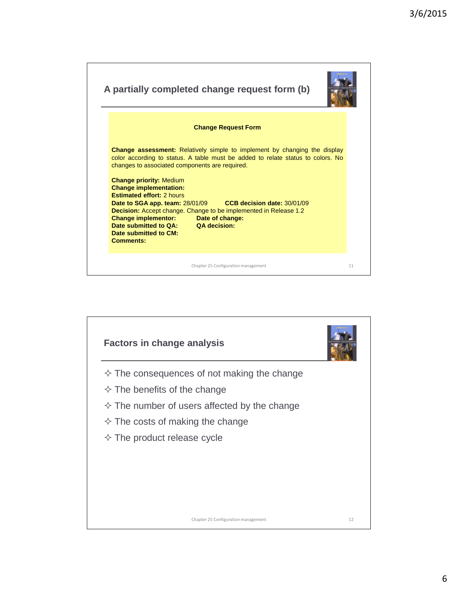| A partially completed change request form (b)                                                                                                                                                                                                                                                                                                                           |    |  |  |
|-------------------------------------------------------------------------------------------------------------------------------------------------------------------------------------------------------------------------------------------------------------------------------------------------------------------------------------------------------------------------|----|--|--|
| <b>Change Request Form</b>                                                                                                                                                                                                                                                                                                                                              |    |  |  |
| <b>Change assessment:</b> Relatively simple to implement by changing the display<br>color according to status. A table must be added to relate status to colors. No<br>changes to associated components are required.                                                                                                                                                   |    |  |  |
| <b>Change priority: Medium</b><br><b>Change implementation:</b><br><b>Estimated effort: 2 hours</b><br>Date to SGA app. team: 28/01/09 CCB decision date: 30/01/09<br><b>Decision:</b> Accept change. Change to be implemented in Release 1.2<br><b>Change implementor: Date of change:</b><br>Date submitted to QA: QA decision:<br>Date submitted to CM:<br>Comments: |    |  |  |
| Chapter 25 Configuration management                                                                                                                                                                                                                                                                                                                                     | 11 |  |  |

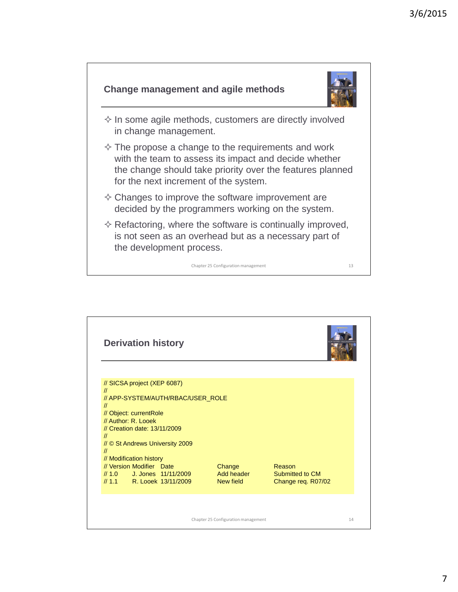![](_page_6_Figure_1.jpeg)

![](_page_6_Picture_2.jpeg)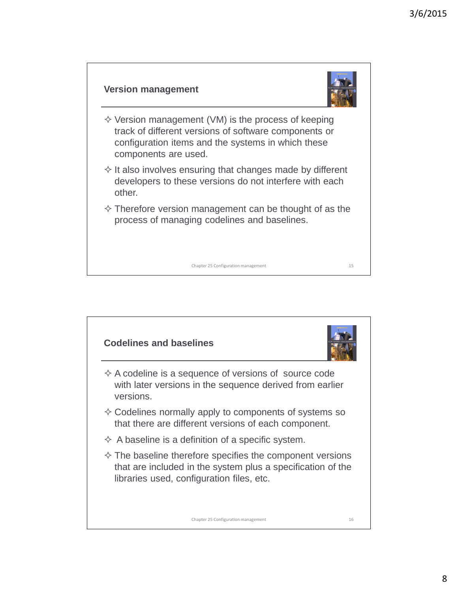![](_page_7_Figure_1.jpeg)

![](_page_7_Figure_2.jpeg)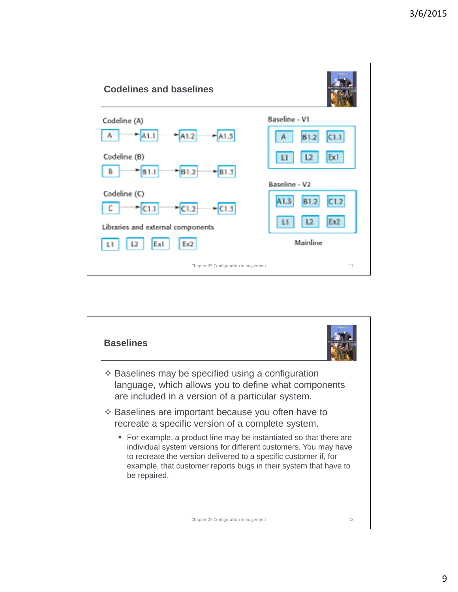![](_page_8_Figure_1.jpeg)

![](_page_8_Picture_2.jpeg)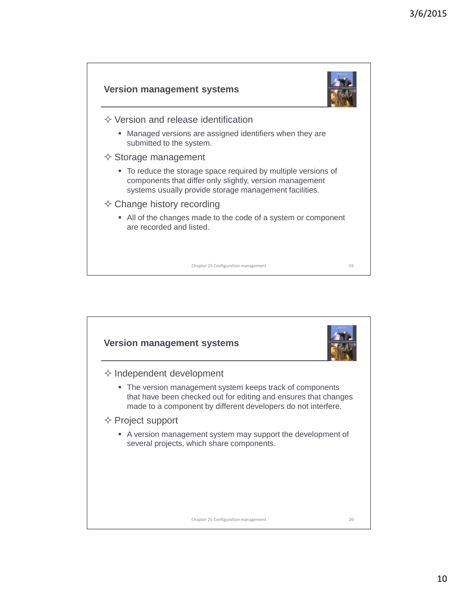![](_page_9_Figure_1.jpeg)

![](_page_9_Figure_2.jpeg)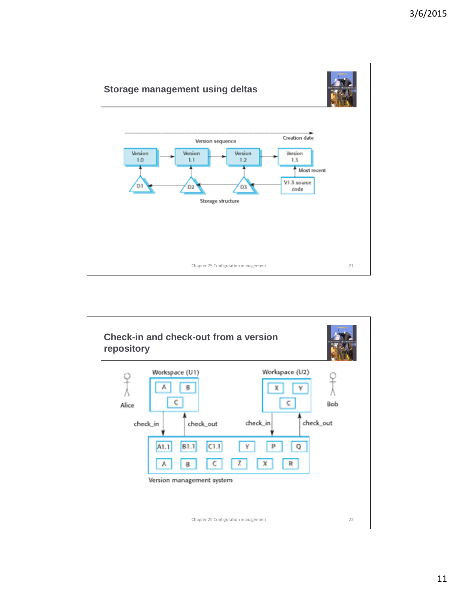![](_page_10_Figure_1.jpeg)

![](_page_10_Figure_2.jpeg)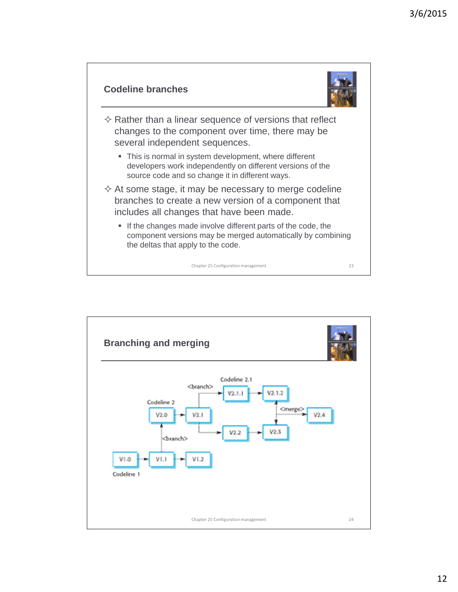![](_page_11_Figure_1.jpeg)

![](_page_11_Picture_2.jpeg)

 $\diamond$  Rather than a linear sequence of versions that reflect changes to the component over time, there may be several independent sequences.

- This is normal in system development, where different developers work independently on different versions of the source code and so change it in different ways.
- $\Diamond$  At some stage, it may be necessary to merge codeline branches to create a new version of a component that includes all changes that have been made.
	- If the changes made involve different parts of the code, the component versions may be merged automatically by combining the deltas that apply to the code.

Chapter 25 Configuration management 23

**Branching and merging** Codeline 2.1 <branch>  $V2.1.2$ V2.1.1 Codeline 2 <merge>  $V2.1$  $V2.4$  $V2.0$  $V2.2$  $\triangle$ ranch $\triangleright$  $VI.O$ V1.1  $VI.2$ Codeline 1 24Chapter 25 Configuration management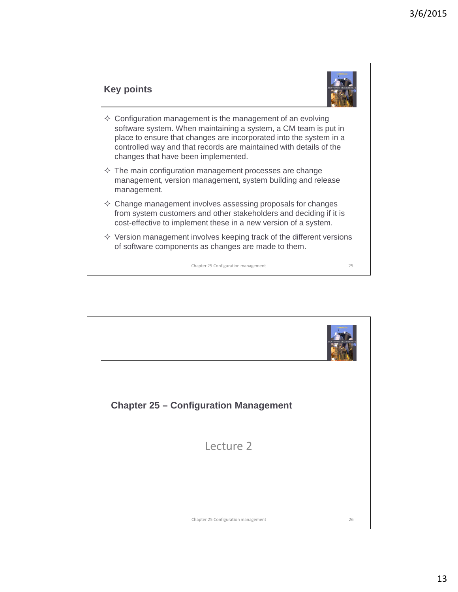#### **Key points**

![](_page_12_Picture_2.jpeg)

- $\diamond$  Configuration management is the management of an evolving software system. When maintaining a system, a CM team is put in place to ensure that changes are incorporated into the system in a controlled way and that records are maintained with details of the changes that have been implemented.
- $\Diamond$  The main configuration management processes are change management, version management, system building and release management.
- $\Diamond$  Change management involves assessing proposals for changes from system customers and other stakeholders and deciding if it is cost-effective to implement these in a new version of a system.
- $\Diamond$  Version management involves keeping track of the different versions of software components as changes are made to them.

Chapter 25 Configuration management 25

**Chapter 25 – Configuration Management** Lecture 2 26Chapter 25 Configuration management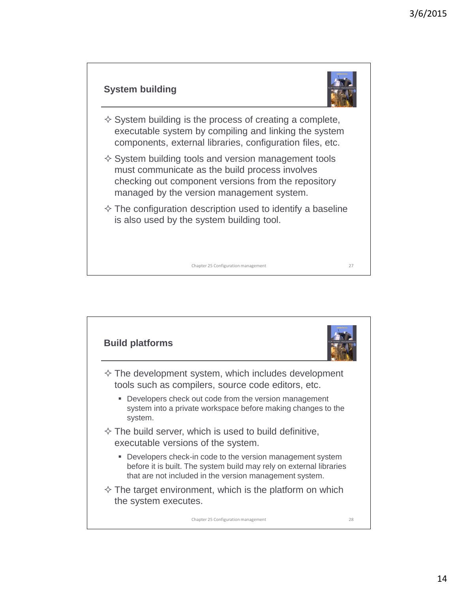## **System building**

![](_page_13_Picture_2.jpeg)

 $\Diamond$  System building is the process of creating a complete, executable system by compiling and linking the system components, external libraries, configuration files, etc.

 $\diamond$  System building tools and version management tools must communicate as the build process involves checking out component versions from the repository managed by the version management system.

 $\diamond$  The configuration description used to identify a baseline is also used by the system building tool.

Chapter 25 Configuration management 27

**Build platforms**  $\diamond$  The development system, which includes development tools such as compilers, source code editors, etc. **Developers check out code from the version management** system into a private workspace before making changes to the system.  $\diamond$  The build server, which is used to build definitive, executable versions of the system. **Developers check-in code to the version management system** before it is built. The system build may rely on external libraries that are not included in the version management system.  $\Diamond$  The target environment, which is the platform on which the system executes.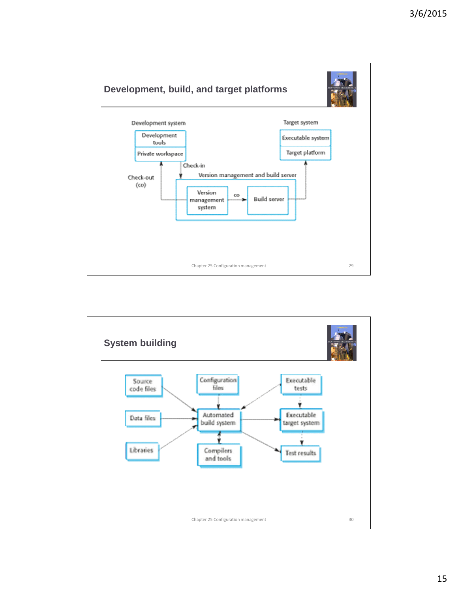![](_page_14_Figure_1.jpeg)

![](_page_14_Figure_2.jpeg)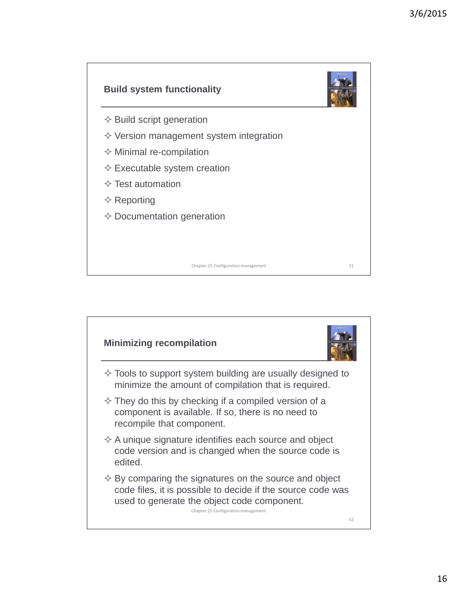![](_page_15_Figure_1.jpeg)

![](_page_15_Picture_2.jpeg)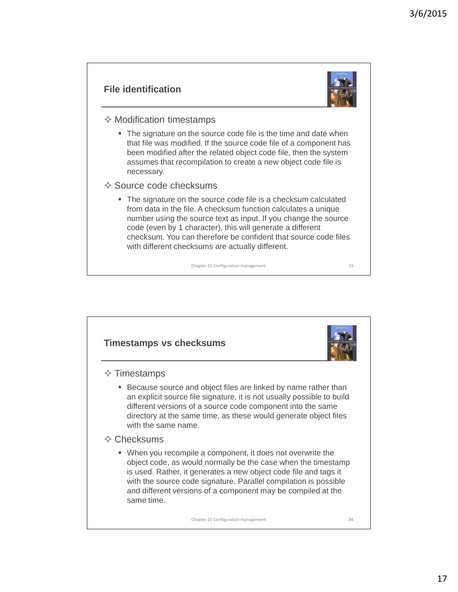#### **File identification**

![](_page_16_Picture_2.jpeg)

- $\diamond$  Modification timestamps
	- The signature on the source code file is the time and date when that file was modified. If the source code file of a component has been modified after the related object code file, then the system assumes that recompilation to create a new object code file is necessary.
- $\diamond$  Source code checksums
	- The signature on the source code file is a checksum calculated from data in the file. A checksum function calculates a unique number using the source text as input. If you change the source code (even by 1 character), this will generate a different checksum. You can therefore be confident that source code files with different checksums are actually different.

Chapter 25 Configuration management 33

**Timestamps vs checksums**  $\diamond$  Timestamps **Because source and object files are linked by name rather than** an explicit source file signature, it is not usually possible to build different versions of a source code component into the same directory at the same time, as these would generate object files with the same name.  $\Diamond$  Checksums When you recompile a component, it does not overwrite the object code, as would normally be the case when the timestamp is used. Rather, it generates a new object code file and tags it with the source code signature. Parallel compilation is possible and different versions of a component may be compiled at the same time.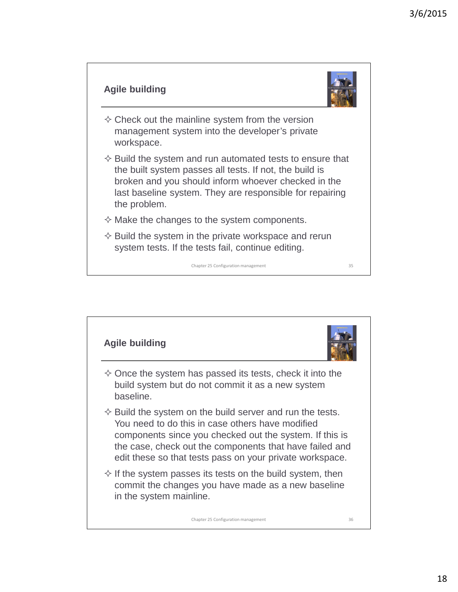# **Agile building**

![](_page_17_Picture_2.jpeg)

- $\diamond$  Check out the mainline system from the version management system into the developer's private workspace.
- $\diamond$  Build the system and run automated tests to ensure that the built system passes all tests. If not, the build is broken and you should inform whoever checked in the last baseline system. They are responsible for repairing the problem.
- $\Diamond$  Make the changes to the system components.
- $\diamond$  Build the system in the private workspace and rerun system tests. If the tests fail, continue editing.

![](_page_17_Figure_8.jpeg)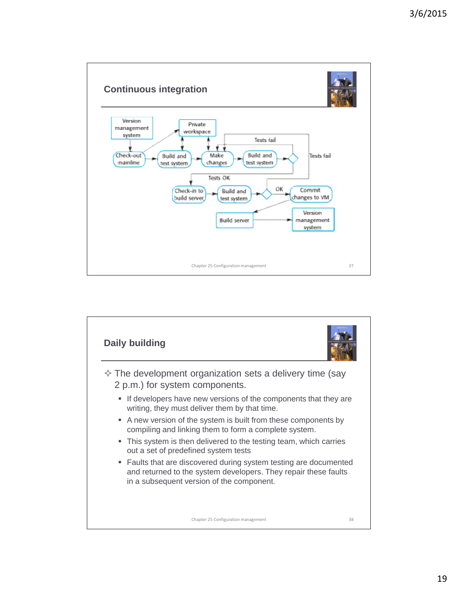![](_page_18_Figure_1.jpeg)

![](_page_18_Figure_2.jpeg)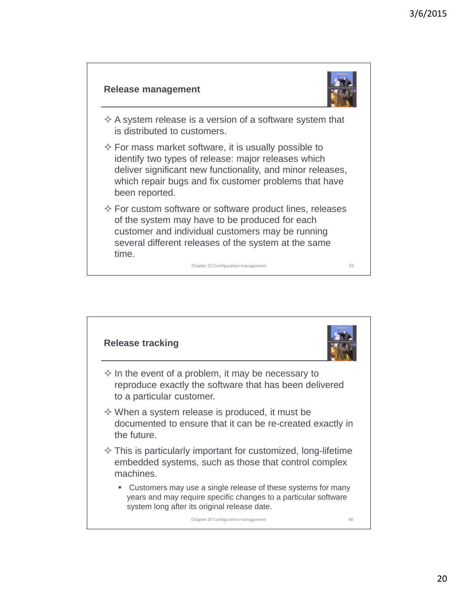#### **Release management**

![](_page_19_Picture_2.jpeg)

- $\Diamond$  A system release is a version of a software system that is distributed to customers.
- $\Diamond$  For mass market software, it is usually possible to identify two types of release: major releases which deliver significant new functionality, and minor releases, which repair bugs and fix customer problems that have been reported.
- $\diamond$  For custom software or software product lines, releases of the system may have to be produced for each customer and individual customers may be running several different releases of the system at the same time.

![](_page_19_Figure_7.jpeg)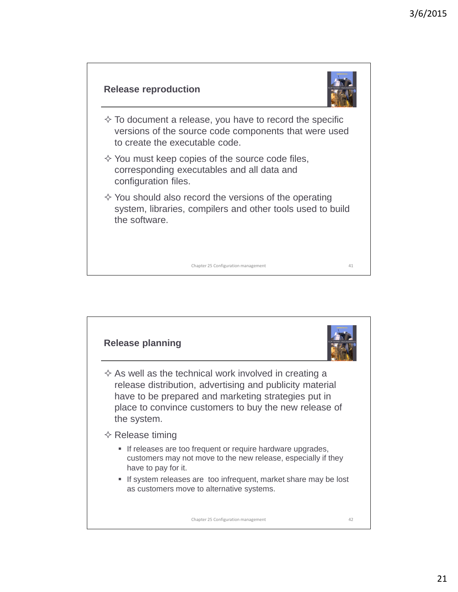![](_page_20_Figure_1.jpeg)

![](_page_20_Figure_2.jpeg)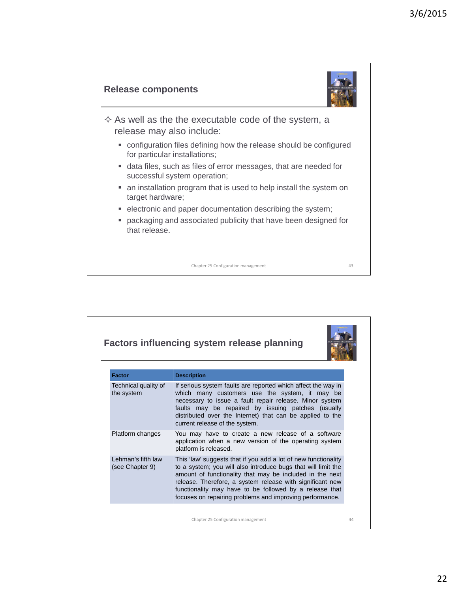![](_page_21_Figure_1.jpeg)

![](_page_21_Picture_2.jpeg)

 $\Diamond$  As well as the the executable code of the system, a release may also include:

- configuration files defining how the release should be configured for particular installations;
- data files, such as files of error messages, that are needed for successful system operation;
- an installation program that is used to help install the system on target hardware;
- electronic and paper documentation describing the system;
- packaging and associated publicity that have been designed for that release.

| <b>Factors influencing system release planning</b>                                                                                                                                                                                                                                                                                                                              |  |  |
|---------------------------------------------------------------------------------------------------------------------------------------------------------------------------------------------------------------------------------------------------------------------------------------------------------------------------------------------------------------------------------|--|--|
| <b>Description</b>                                                                                                                                                                                                                                                                                                                                                              |  |  |
| If serious system faults are reported which affect the way in<br>which many customers use the system, it may be<br>necessary to issue a fault repair release. Minor system<br>faults may be repaired by issuing patches (usually<br>distributed over the Internet) that can be applied to the<br>current release of the system.                                                 |  |  |
| You may have to create a new release of a software<br>application when a new version of the operating system<br>platform is released.                                                                                                                                                                                                                                           |  |  |
| This 'law' suggests that if you add a lot of new functionality<br>to a system; you will also introduce bugs that will limit the<br>amount of functionality that may be included in the next<br>release. Therefore, a system release with significant new<br>functionality may have to be followed by a release that<br>focuses on repairing problems and improving performance. |  |  |
|                                                                                                                                                                                                                                                                                                                                                                                 |  |  |